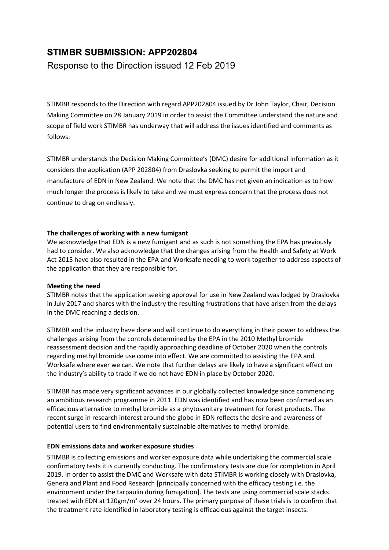# STIMBR SUBMISSION: APP202804

Response to the Direction issued 12 Feb 2019

STIMBR responds to the Direction with regard APP202804 issued by Dr John Taylor, Chair, Decision Making Committee on 28 January 2019 in order to assist the Committee understand the nature and scope of field work STIMBR has underway that will address the issues identified and comments as follows:

STIMBR understands the Decision Making Committee's (DMC) desire for additional information as it considers the application (APP 202804) from Draslovka seeking to permit the import and manufacture of EDN in New Zealand. We note that the DMC has not given an indication as to how much longer the process is likely to take and we must express concern that the process does not continue to drag on endlessly.

# The challenges of working with a new fumigant

We acknowledge that EDN is a new fumigant and as such is not something the EPA has previously had to consider. We also acknowledge that the changes arising from the Health and Safety at Work Act 2015 have also resulted in the EPA and Worksafe needing to work together to address aspects of the application that they are responsible for.

## Meeting the need

STIMBR notes that the application seeking approval for use in New Zealand was lodged by Draslovka in July 2017 and shares with the industry the resulting frustrations that have arisen from the delays in the DMC reaching a decision.

STIMBR and the industry have done and will continue to do everything in their power to address the challenges arising from the controls determined by the EPA in the 2010 Methyl bromide reassessment decision and the rapidly approaching deadline of October 2020 when the controls regarding methyl bromide use come into effect. We are committed to assisting the EPA and Worksafe where ever we can. We note that further delays are likely to have a significant effect on the industry's ability to trade if we do not have EDN in place by October 2020.

STIMBR has made very significant advances in our globally collected knowledge since commencing an ambitious research programme in 2011. EDN was identified and has now been confirmed as an efficacious alternative to methyl bromide as a phytosanitary treatment for forest products. The recent surge in research interest around the globe in EDN reflects the desire and awareness of potential users to find environmentally sustainable alternatives to methyl bromide.

# EDN emissions data and worker exposure studies

STIMBR is collecting emissions and worker exposure data while undertaking the commercial scale confirmatory tests it is currently conducting. The confirmatory tests are due for completion in April 2019. In order to assist the DMC and Worksafe with data STIMBR is working closely with Draslovka, Genera and Plant and Food Research [principally concerned with the efficacy testing i.e. the environment under the tarpaulin during fumigation]. The tests are using commercial scale stacks treated with EDN at 120gm/m<sup>3</sup> over 24 hours. The primary purpose of these trials is to confirm that the treatment rate identified in laboratory testing is efficacious against the target insects.